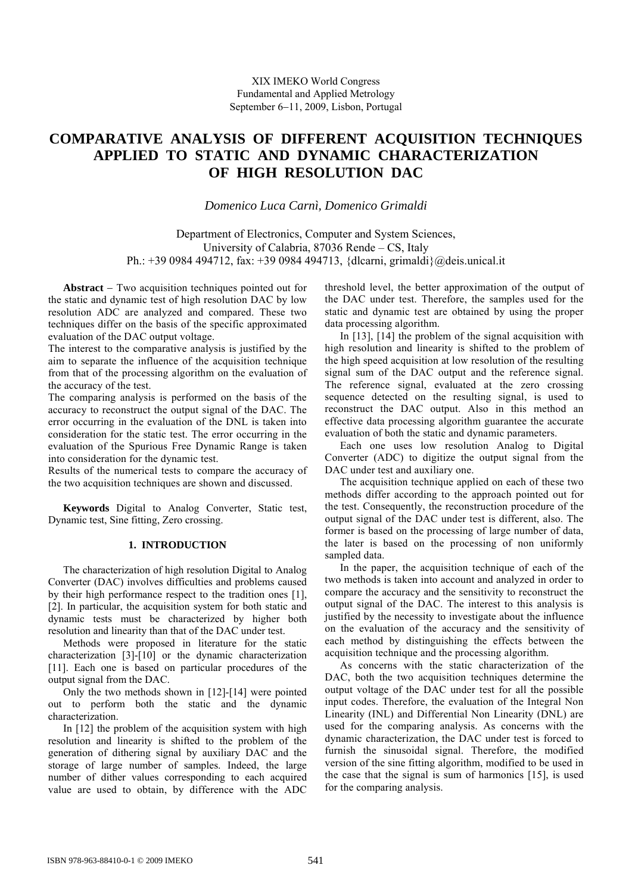# **COMPARATIVE ANALYSIS OF DIFFERENT ACQUISITION TECHNIQUES APPLIED TO STATIC AND DYNAMIC CHARACTERIZATION OF HIGH RESOLUTION DAC**

*Domenico Luca Carnì, Domenico Grimaldi* 

Department of Electronics, Computer and System Sciences, University of Calabria, 87036 Rende – CS, Italy Ph.: +39 0984 494712, fax: +39 0984 494713, {dlcarni, grimaldi}@deis.unical.it

**Abstract** – Two acquisition techniques pointed out for the static and dynamic test of high resolution DAC by low resolution ADC are analyzed and compared. These two techniques differ on the basis of the specific approximated evaluation of the DAC output voltage.

The interest to the comparative analysis is justified by the aim to separate the influence of the acquisition technique from that of the processing algorithm on the evaluation of the accuracy of the test.

The comparing analysis is performed on the basis of the accuracy to reconstruct the output signal of the DAC. The error occurring in the evaluation of the DNL is taken into consideration for the static test. The error occurring in the evaluation of the Spurious Free Dynamic Range is taken into consideration for the dynamic test.

Results of the numerical tests to compare the accuracy of the two acquisition techniques are shown and discussed.

**Keywords** Digital to Analog Converter, Static test, Dynamic test, Sine fitting, Zero crossing.

### **1. INTRODUCTION**

The characterization of high resolution Digital to Analog Converter (DAC) involves difficulties and problems caused by their high performance respect to the tradition ones [1], [2]. In particular, the acquisition system for both static and dynamic tests must be characterized by higher both resolution and linearity than that of the DAC under test.

Methods were proposed in literature for the static characterization [3]-[10] or the dynamic characterization [11]. Each one is based on particular procedures of the output signal from the DAC.

Only the two methods shown in [12]-[14] were pointed out to perform both the static and the dynamic characterization.

In [12] the problem of the acquisition system with high resolution and linearity is shifted to the problem of the generation of dithering signal by auxiliary DAC and the storage of large number of samples. Indeed, the large number of dither values corresponding to each acquired value are used to obtain, by difference with the ADC threshold level, the better approximation of the output of the DAC under test. Therefore, the samples used for the static and dynamic test are obtained by using the proper data processing algorithm.

In [13], [14] the problem of the signal acquisition with high resolution and linearity is shifted to the problem of the high speed acquisition at low resolution of the resulting signal sum of the DAC output and the reference signal. The reference signal, evaluated at the zero crossing sequence detected on the resulting signal, is used to reconstruct the DAC output. Also in this method an effective data processing algorithm guarantee the accurate evaluation of both the static and dynamic parameters.

Each one uses low resolution Analog to Digital Converter (ADC) to digitize the output signal from the DAC under test and auxiliary one.

The acquisition technique applied on each of these two methods differ according to the approach pointed out for the test. Consequently, the reconstruction procedure of the output signal of the DAC under test is different, also. The former is based on the processing of large number of data, the later is based on the processing of non uniformly sampled data.

In the paper, the acquisition technique of each of the two methods is taken into account and analyzed in order to compare the accuracy and the sensitivity to reconstruct the output signal of the DAC. The interest to this analysis is justified by the necessity to investigate about the influence on the evaluation of the accuracy and the sensitivity of each method by distinguishing the effects between the acquisition technique and the processing algorithm.

As concerns with the static characterization of the DAC, both the two acquisition techniques determine the output voltage of the DAC under test for all the possible input codes. Therefore, the evaluation of the Integral Non Linearity (INL) and Differential Non Linearity (DNL) are used for the comparing analysis. As concerns with the dynamic characterization, the DAC under test is forced to furnish the sinusoidal signal. Therefore, the modified version of the sine fitting algorithm, modified to be used in the case that the signal is sum of harmonics [15], is used for the comparing analysis.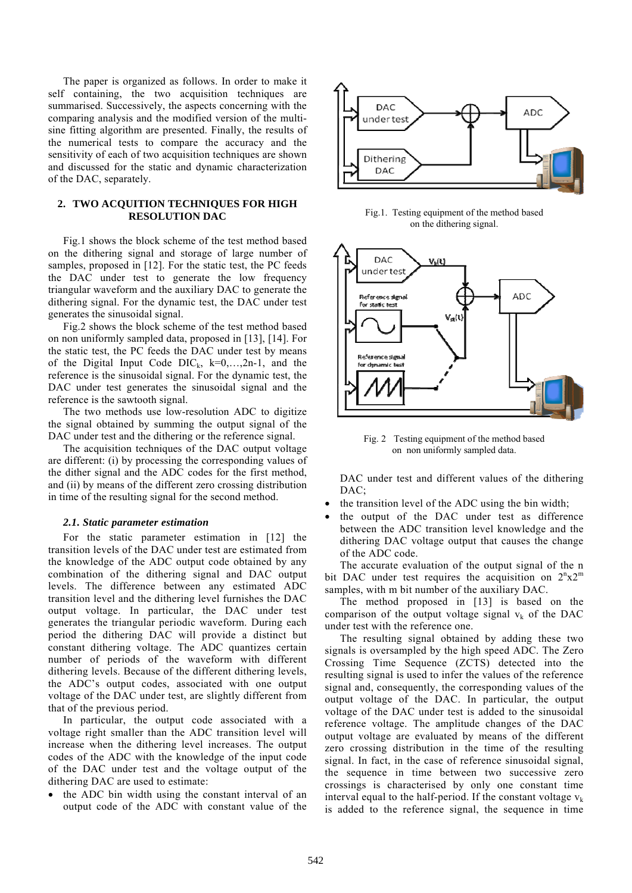The paper is organized as follows. In order to make it self containing, the two acquisition techniques are summarised. Successively, the aspects concerning with the comparing analysis and the modified version of the multisine fitting algorithm are presented. Finally, the results of the numerical tests to compare the accuracy and the sensitivity of each of two acquisition techniques are shown and discussed for the static and dynamic characterization of the DAC, separately.

### **2. TWO ACQUITION TECHNIQUES FOR HIGH RESOLUTION DAC**

Fig.1 shows the block scheme of the test method based on the dithering signal and storage of large number of samples, proposed in [12]. For the static test, the PC feeds the DAC under test to generate the low frequency triangular waveform and the auxiliary DAC to generate the dithering signal. For the dynamic test, the DAC under test generates the sinusoidal signal.

Fig.2 shows the block scheme of the test method based on non uniformly sampled data, proposed in [13], [14]. For the static test, the PC feeds the DAC under test by means of the Digital Input Code  $DIC_k$ ,  $k=0,...,2n-1$ , and the reference is the sinusoidal signal. For the dynamic test, the DAC under test generates the sinusoidal signal and the reference is the sawtooth signal.

The two methods use low-resolution ADC to digitize the signal obtained by summing the output signal of the DAC under test and the dithering or the reference signal.

The acquisition techniques of the DAC output voltage are different: (i) by processing the corresponding values of the dither signal and the ADC codes for the first method, and (ii) by means of the different zero crossing distribution in time of the resulting signal for the second method.

#### *2.1. Static parameter estimation*

For the static parameter estimation in [12] the transition levels of the DAC under test are estimated from the knowledge of the ADC output code obtained by any combination of the dithering signal and DAC output levels. The difference between any estimated ADC transition level and the dithering level furnishes the DAC output voltage. In particular, the DAC under test generates the triangular periodic waveform. During each period the dithering DAC will provide a distinct but constant dithering voltage. The ADC quantizes certain number of periods of the waveform with different dithering levels. Because of the different dithering levels, the ADC's output codes, associated with one output voltage of the DAC under test, are slightly different from that of the previous period.

In particular, the output code associated with a voltage right smaller than the ADC transition level will increase when the dithering level increases. The output codes of the ADC with the knowledge of the input code of the DAC under test and the voltage output of the dithering DAC are used to estimate:

 the ADC bin width using the constant interval of an output code of the ADC with constant value of the



Fig.1. Testing equipment of the method based on the dithering signal.



Fig. 2 Testing equipment of the method based on non uniformly sampled data.

DAC under test and different values of the dithering DAC;

- the transition level of the ADC using the bin width;
- the output of the DAC under test as difference between the ADC transition level knowledge and the dithering DAC voltage output that causes the change of the ADC code.

The accurate evaluation of the output signal of the n bit DAC under test requires the acquisition on  $2^{n}x2^{m}$ samples, with m bit number of the auxiliary DAC.

The method proposed in [13] is based on the comparison of the output voltage signal  $v_k$  of the DAC under test with the reference one.

The resulting signal obtained by adding these two signals is oversampled by the high speed ADC. The Zero Crossing Time Sequence (ZCTS) detected into the resulting signal is used to infer the values of the reference signal and, consequently, the corresponding values of the output voltage of the DAC. In particular, the output voltage of the DAC under test is added to the sinusoidal reference voltage. The amplitude changes of the DAC output voltage are evaluated by means of the different zero crossing distribution in the time of the resulting signal. In fact, in the case of reference sinusoidal signal, the sequence in time between two successive zero crossings is characterised by only one constant time interval equal to the half-period. If the constant voltage  $v_k$ is added to the reference signal, the sequence in time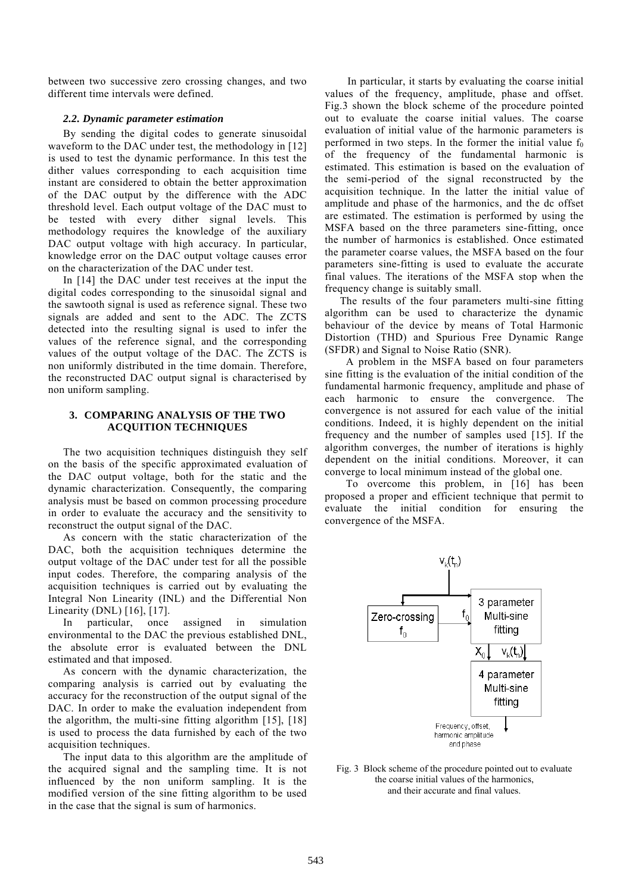between two successive zero crossing changes, and two different time intervals were defined.

### *2.2. Dynamic parameter estimation*

By sending the digital codes to generate sinusoidal waveform to the DAC under test, the methodology in [12] is used to test the dynamic performance. In this test the dither values corresponding to each acquisition time instant are considered to obtain the better approximation of the DAC output by the difference with the ADC threshold level. Each output voltage of the DAC must to be tested with every dither signal levels. This methodology requires the knowledge of the auxiliary DAC output voltage with high accuracy. In particular, knowledge error on the DAC output voltage causes error on the characterization of the DAC under test.

In [14] the DAC under test receives at the input the digital codes corresponding to the sinusoidal signal and the sawtooth signal is used as reference signal. These two signals are added and sent to the ADC. The ZCTS detected into the resulting signal is used to infer the values of the reference signal, and the corresponding values of the output voltage of the DAC. The ZCTS is non uniformly distributed in the time domain. Therefore, the reconstructed DAC output signal is characterised by non uniform sampling.

## **3. COMPARING ANALYSIS OF THE TWO ACQUITION TECHNIQUES**

The two acquisition techniques distinguish they self on the basis of the specific approximated evaluation of the DAC output voltage, both for the static and the dynamic characterization. Consequently, the comparing analysis must be based on common processing procedure in order to evaluate the accuracy and the sensitivity to reconstruct the output signal of the DAC.

As concern with the static characterization of the DAC, both the acquisition techniques determine the output voltage of the DAC under test for all the possible input codes. Therefore, the comparing analysis of the acquisition techniques is carried out by evaluating the Integral Non Linearity (INL) and the Differential Non Linearity (DNL) [16], [17].

In particular, once assigned in simulation environmental to the DAC the previous established DNL, the absolute error is evaluated between the DNL estimated and that imposed.

As concern with the dynamic characterization, the comparing analysis is carried out by evaluating the accuracy for the reconstruction of the output signal of the DAC. In order to make the evaluation independent from the algorithm, the multi-sine fitting algorithm [15], [18] is used to process the data furnished by each of the two acquisition techniques.

The input data to this algorithm are the amplitude of the acquired signal and the sampling time. It is not influenced by the non uniform sampling. It is the modified version of the sine fitting algorithm to be used in the case that the signal is sum of harmonics.

In particular, it starts by evaluating the coarse initial values of the frequency, amplitude, phase and offset. Fig.3 shown the block scheme of the procedure pointed out to evaluate the coarse initial values. The coarse evaluation of initial value of the harmonic parameters is performed in two steps. In the former the initial value  $f_0$ of the frequency of the fundamental harmonic is estimated. This estimation is based on the evaluation of the semi-period of the signal reconstructed by the acquisition technique. In the latter the initial value of amplitude and phase of the harmonics, and the dc offset are estimated. The estimation is performed by using the MSFA based on the three parameters sine-fitting, once the number of harmonics is established. Once estimated the parameter coarse values, the MSFA based on the four parameters sine-fitting is used to evaluate the accurate final values. The iterations of the MSFA stop when the frequency change is suitably small.

The results of the four parameters multi-sine fitting algorithm can be used to characterize the dynamic behaviour of the device by means of Total Harmonic Distortion (THD) and Spurious Free Dynamic Range (SFDR) and Signal to Noise Ratio (SNR).

A problem in the MSFA based on four parameters sine fitting is the evaluation of the initial condition of the fundamental harmonic frequency, amplitude and phase of each harmonic to ensure the convergence. The convergence is not assured for each value of the initial conditions. Indeed, it is highly dependent on the initial frequency and the number of samples used [15]. If the algorithm converges, the number of iterations is highly dependent on the initial conditions. Moreover, it can converge to local minimum instead of the global one.

To overcome this problem, in [16] has been proposed a proper and efficient technique that permit to evaluate the initial condition for ensuring the convergence of the MSFA.



Fig. 3 Block scheme of the procedure pointed out to evaluate the coarse initial values of the harmonics, and their accurate and final values.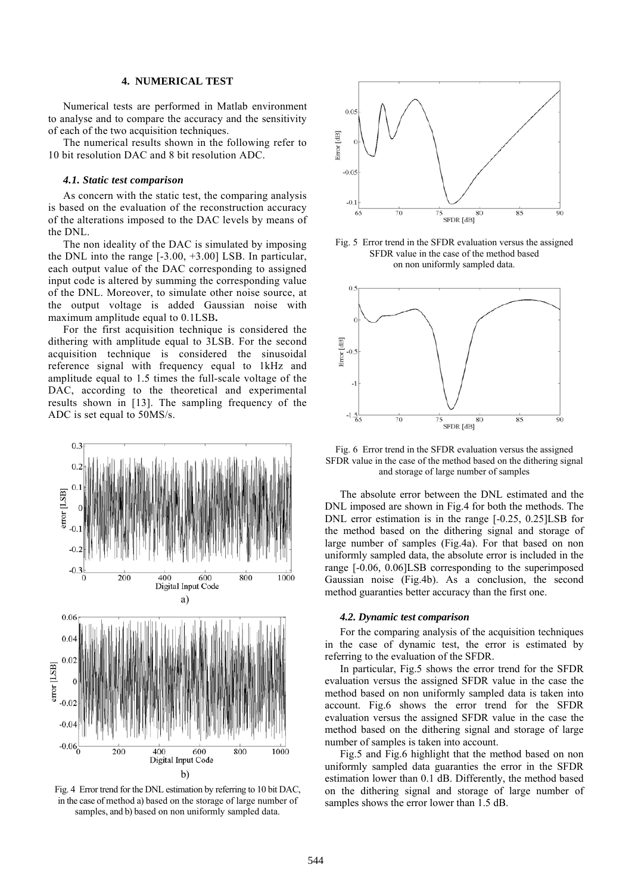# **4. NUMERICAL TEST**

Numerical tests are performed in Matlab environment to analyse and to compare the accuracy and the sensitivity of each of the two acquisition techniques.

The numerical results shown in the following refer to 10 bit resolution DAC and 8 bit resolution ADC.

### *4.1. Static test comparison*

As concern with the static test, the comparing analysis is based on the evaluation of the reconstruction accuracy of the alterations imposed to the DAC levels by means of the DNL.

The non ideality of the DAC is simulated by imposing the DNL into the range [-3.00, +3.00] LSB. In particular, each output value of the DAC corresponding to assigned input code is altered by summing the corresponding value of the DNL. Moreover, to simulate other noise source, at the output voltage is added Gaussian noise with maximum amplitude equal to 0.1LSB**.**

For the first acquisition technique is considered the dithering with amplitude equal to 3LSB. For the second acquisition technique is considered the sinusoidal reference signal with frequency equal to 1kHz and amplitude equal to 1.5 times the full-scale voltage of the DAC, according to the theoretical and experimental results shown in [13]. The sampling frequency of the ADC is set equal to 50MS/s.



Fig. 4 Error trend for the DNL estimation by referring to 10 bit DAC, in the case of method a) based on the storage of large number of samples, and b) based on non uniformly sampled data.



Fig. 5 Error trend in the SFDR evaluation versus the assigned SFDR value in the case of the method based on non uniformly sampled data.



Fig. 6 Error trend in the SFDR evaluation versus the assigned SFDR value in the case of the method based on the dithering signal and storage of large number of samples

The absolute error between the DNL estimated and the DNL imposed are shown in Fig.4 for both the methods. The DNL error estimation is in the range [-0.25, 0.25]LSB for the method based on the dithering signal and storage of large number of samples (Fig.4a). For that based on non uniformly sampled data, the absolute error is included in the range [-0.06, 0.06]LSB corresponding to the superimposed Gaussian noise (Fig.4b). As a conclusion, the second method guaranties better accuracy than the first one.

#### *4.2. Dynamic test comparison*

For the comparing analysis of the acquisition techniques in the case of dynamic test, the error is estimated by referring to the evaluation of the SFDR.

In particular, Fig.5 shows the error trend for the SFDR evaluation versus the assigned SFDR value in the case the method based on non uniformly sampled data is taken into account. Fig.6 shows the error trend for the SFDR evaluation versus the assigned SFDR value in the case the method based on the dithering signal and storage of large number of samples is taken into account.

Fig.5 and Fig.6 highlight that the method based on non uniformly sampled data guaranties the error in the SFDR estimation lower than 0.1 dB. Differently, the method based on the dithering signal and storage of large number of samples shows the error lower than 1.5 dB.